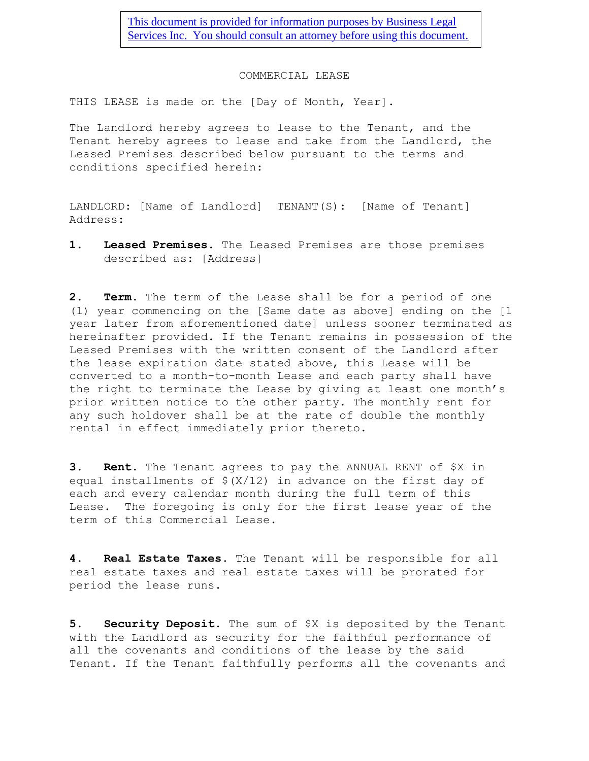[This document is provided for information purposes by Business Legal](http://www.businesslegalservicesinc.com/)  [Services Inc. You should consult an attorney before using this document.](http://www.businesslegalservicesinc.com/)

## COMMERCIAL LEASE

THIS LEASE is made on the [Day of Month, Year].

The Landlord hereby agrees to lease to the Tenant, and the Tenant hereby agrees to lease and take from the Landlord, the Leased Premises described below pursuant to the terms and conditions specified herein:

LANDLORD: [Name of Landlord] TENANT(S): [Name of Tenant] Address:

**1. Leased Premises**. The Leased Premises are those premises described as: [Address]

**2. Term**. The term of the Lease shall be for a period of one (1) year commencing on the [Same date as above] ending on the [1 year later from aforementioned date] unless sooner terminated as hereinafter provided. If the Tenant remains in possession of the Leased Premises with the written consent of the Landlord after the lease expiration date stated above, this Lease will be converted to a month-to-month Lease and each party shall have the right to terminate the Lease by giving at least one month's prior written notice to the other party. The monthly rent for any such holdover shall be at the rate of double the monthly rental in effect immediately prior thereto.

**3. Rent**. The Tenant agrees to pay the ANNUAL RENT of \$X in equal installments of \$(X/12) in advance on the first day of each and every calendar month during the full term of this Lease. The foregoing is only for the first lease year of the term of this Commercial Lease.

**4. Real Estate Taxes**. The Tenant will be responsible for all real estate taxes and real estate taxes will be prorated for period the lease runs.

**5. Security Deposit**. The sum of \$X is deposited by the Tenant with the Landlord as security for the faithful performance of all the covenants and conditions of the lease by the said Tenant. If the Tenant faithfully performs all the covenants and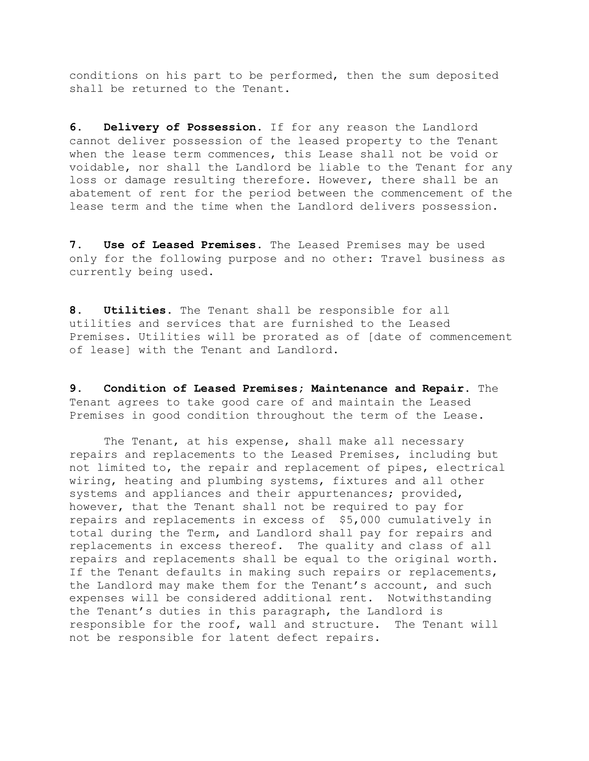conditions on his part to be performed, then the sum deposited shall be returned to the Tenant.

**6. Delivery of Possession**. If for any reason the Landlord cannot deliver possession of the leased property to the Tenant when the lease term commences, this Lease shall not be void or voidable, nor shall the Landlord be liable to the Tenant for any loss or damage resulting therefore. However, there shall be an abatement of rent for the period between the commencement of the lease term and the time when the Landlord delivers possession.

**7. Use of Leased Premises**. The Leased Premises may be used only for the following purpose and no other: Travel business as currently being used.

**8. Utilities**. The Tenant shall be responsible for all utilities and services that are furnished to the Leased Premises. Utilities will be prorated as of [date of commencement of lease] with the Tenant and Landlord.

**9. Condition of Leased Premises; Maintenance and Repair**. The Tenant agrees to take good care of and maintain the Leased Premises in good condition throughout the term of the Lease.

The Tenant, at his expense, shall make all necessary repairs and replacements to the Leased Premises, including but not limited to, the repair and replacement of pipes, electrical wiring, heating and plumbing systems, fixtures and all other systems and appliances and their appurtenances; provided, however, that the Tenant shall not be required to pay for repairs and replacements in excess of \$5,000 cumulatively in total during the Term, and Landlord shall pay for repairs and replacements in excess thereof. The quality and class of all repairs and replacements shall be equal to the original worth. If the Tenant defaults in making such repairs or replacements, the Landlord may make them for the Tenant's account, and such expenses will be considered additional rent. Notwithstanding the Tenant's duties in this paragraph, the Landlord is responsible for the roof, wall and structure. The Tenant will not be responsible for latent defect repairs.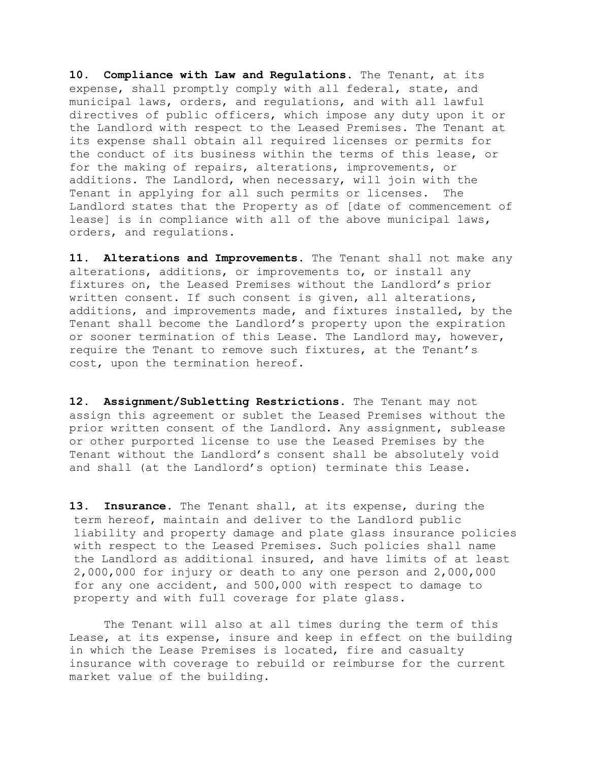**10. Compliance with Law and Regulations**. The Tenant, at its expense, shall promptly comply with all federal, state, and municipal laws, orders, and regulations, and with all lawful directives of public officers, which impose any duty upon it or the Landlord with respect to the Leased Premises. The Tenant at its expense shall obtain all required licenses or permits for the conduct of its business within the terms of this lease, or for the making of repairs, alterations, improvements, or additions. The Landlord, when necessary, will join with the Tenant in applying for all such permits or licenses. The Landlord states that the Property as of [date of commencement of lease] is in compliance with all of the above municipal laws, orders, and regulations.

**11. Alterations and Improvements**. The Tenant shall not make any alterations, additions, or improvements to, or install any fixtures on, the Leased Premises without the Landlord's prior written consent. If such consent is given, all alterations, additions, and improvements made, and fixtures installed, by the Tenant shall become the Landlord's property upon the expiration or sooner termination of this Lease. The Landlord may, however, require the Tenant to remove such fixtures, at the Tenant's cost, upon the termination hereof.

**12. Assignment/Subletting Restrictions**. The Tenant may not assign this agreement or sublet the Leased Premises without the prior written consent of the Landlord. Any assignment, sublease or other purported license to use the Leased Premises by the Tenant without the Landlord's consent shall be absolutely void and shall (at the Landlord's option) terminate this Lease.

**13. Insurance.** The Tenant shall, at its expense, during the term hereof, maintain and deliver to the Landlord public liability and property damage and plate glass insurance policies with respect to the Leased Premises. Such policies shall name the Landlord as additional insured, and have limits of at least 2,000,000 for injury or death to any one person and 2,000,000 for any one accident, and 500,000 with respect to damage to property and with full coverage for plate glass.

The Tenant will also at all times during the term of this Lease, at its expense, insure and keep in effect on the building in which the Lease Premises is located, fire and casualty insurance with coverage to rebuild or reimburse for the current market value of the building.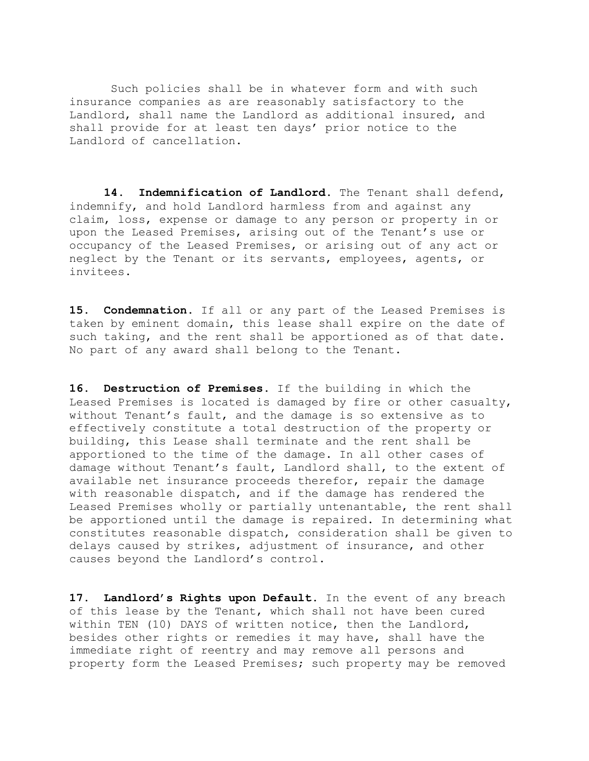Such policies shall be in whatever form and with such insurance companies as are reasonably satisfactory to the Landlord, shall name the Landlord as additional insured, and shall provide for at least ten days' prior notice to the Landlord of cancellation.

**14. Indemnification of Landlord**. The Tenant shall defend, indemnify, and hold Landlord harmless from and against any claim, loss, expense or damage to any person or property in or upon the Leased Premises, arising out of the Tenant's use or occupancy of the Leased Premises, or arising out of any act or neglect by the Tenant or its servants, employees, agents, or invitees.

**15. Condemnation**. If all or any part of the Leased Premises is taken by eminent domain, this lease shall expire on the date of such taking, and the rent shall be apportioned as of that date. No part of any award shall belong to the Tenant.

**16. Destruction of Premises**. If the building in which the Leased Premises is located is damaged by fire or other casualty, without Tenant's fault, and the damage is so extensive as to effectively constitute a total destruction of the property or building, this Lease shall terminate and the rent shall be apportioned to the time of the damage. In all other cases of damage without Tenant's fault, Landlord shall, to the extent of available net insurance proceeds therefor, repair the damage with reasonable dispatch, and if the damage has rendered the Leased Premises wholly or partially untenantable, the rent shall be apportioned until the damage is repaired. In determining what constitutes reasonable dispatch, consideration shall be given to delays caused by strikes, adjustment of insurance, and other causes beyond the Landlord's control.

**17. Landlord's Rights upon Default**. In the event of any breach of this lease by the Tenant, which shall not have been cured within TEN (10) DAYS of written notice, then the Landlord, besides other rights or remedies it may have, shall have the immediate right of reentry and may remove all persons and property form the Leased Premises; such property may be removed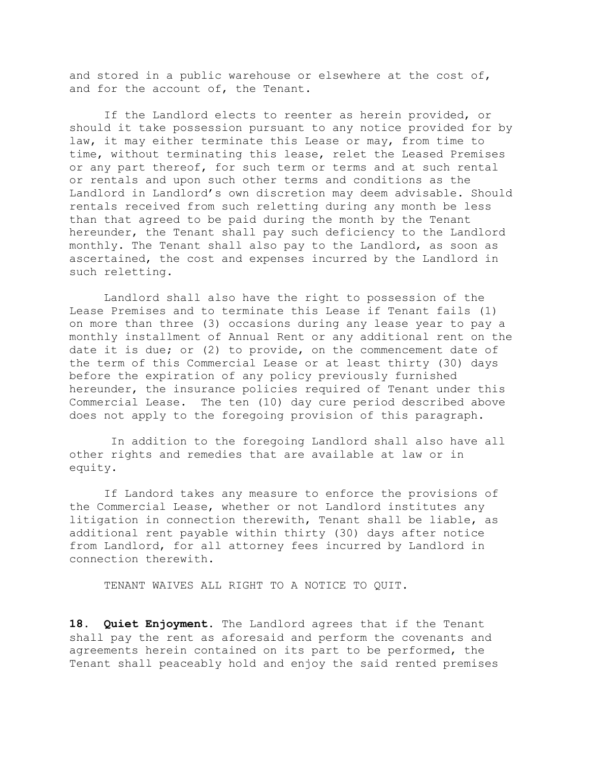and stored in a public warehouse or elsewhere at the cost of, and for the account of, the Tenant.

If the Landlord elects to reenter as herein provided, or should it take possession pursuant to any notice provided for by law, it may either terminate this Lease or may, from time to time, without terminating this lease, relet the Leased Premises or any part thereof, for such term or terms and at such rental or rentals and upon such other terms and conditions as the Landlord in Landlord's own discretion may deem advisable. Should rentals received from such reletting during any month be less than that agreed to be paid during the month by the Tenant hereunder, the Tenant shall pay such deficiency to the Landlord monthly. The Tenant shall also pay to the Landlord, as soon as ascertained, the cost and expenses incurred by the Landlord in such reletting.

 Landlord shall also have the right to possession of the Lease Premises and to terminate this Lease if Tenant fails (1) on more than three (3) occasions during any lease year to pay a monthly installment of Annual Rent or any additional rent on the date it is due; or (2) to provide, on the commencement date of the term of this Commercial Lease or at least thirty (30) days before the expiration of any policy previously furnished hereunder, the insurance policies required of Tenant under this Commercial Lease. The ten (10) day cure period described above does not apply to the foregoing provision of this paragraph.

 In addition to the foregoing Landlord shall also have all other rights and remedies that are available at law or in equity.

If Landord takes any measure to enforce the provisions of the Commercial Lease, whether or not Landlord institutes any litigation in connection therewith, Tenant shall be liable, as additional rent payable within thirty (30) days after notice from Landlord, for all attorney fees incurred by Landlord in connection therewith.

TENANT WAIVES ALL RIGHT TO A NOTICE TO QUIT.

**18. Quiet Enjoyment**. The Landlord agrees that if the Tenant shall pay the rent as aforesaid and perform the covenants and agreements herein contained on its part to be performed, the Tenant shall peaceably hold and enjoy the said rented premises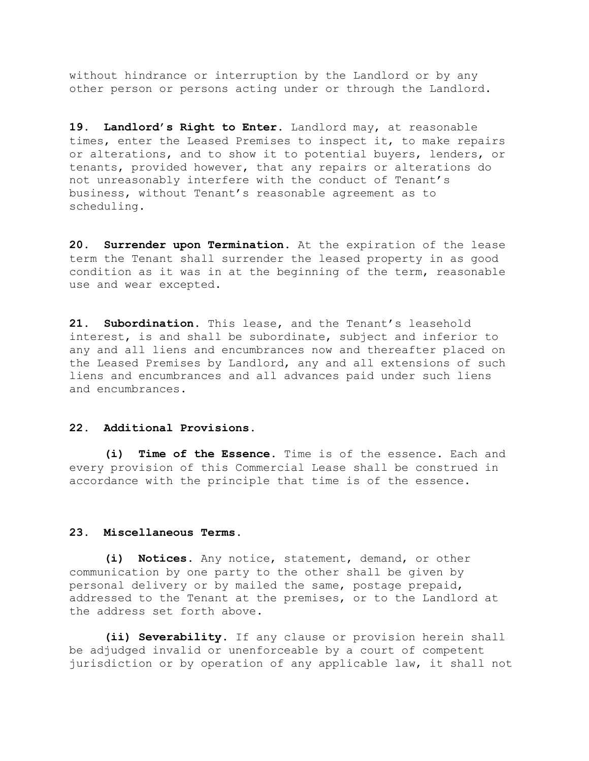without hindrance or interruption by the Landlord or by any other person or persons acting under or through the Landlord.

**19. Landlord's Right to Enter**. Landlord may, at reasonable times, enter the Leased Premises to inspect it, to make repairs or alterations, and to show it to potential buyers, lenders, or tenants, provided however, that any repairs or alterations do not unreasonably interfere with the conduct of Tenant's business, without Tenant's reasonable agreement as to scheduling.

**20. Surrender upon Termination**. At the expiration of the lease term the Tenant shall surrender the leased property in as good condition as it was in at the beginning of the term, reasonable use and wear excepted.

**21. Subordination**. This lease, and the Tenant's leasehold interest, is and shall be subordinate, subject and inferior to any and all liens and encumbrances now and thereafter placed on the Leased Premises by Landlord, any and all extensions of such liens and encumbrances and all advances paid under such liens and encumbrances.

## **22. Additional Provisions**.

**(i) Time of the Essence**. Time is of the essence. Each and every provision of this Commercial Lease shall be construed in accordance with the principle that time is of the essence.

## **23. Miscellaneous Terms**.

**(i) Notices**. Any notice, statement, demand, or other communication by one party to the other shall be given by personal delivery or by mailed the same, postage prepaid, addressed to the Tenant at the premises, or to the Landlord at the address set forth above.

**(ii) Severability**. If any clause or provision herein shall be adjudged invalid or unenforceable by a court of competent jurisdiction or by operation of any applicable law, it shall not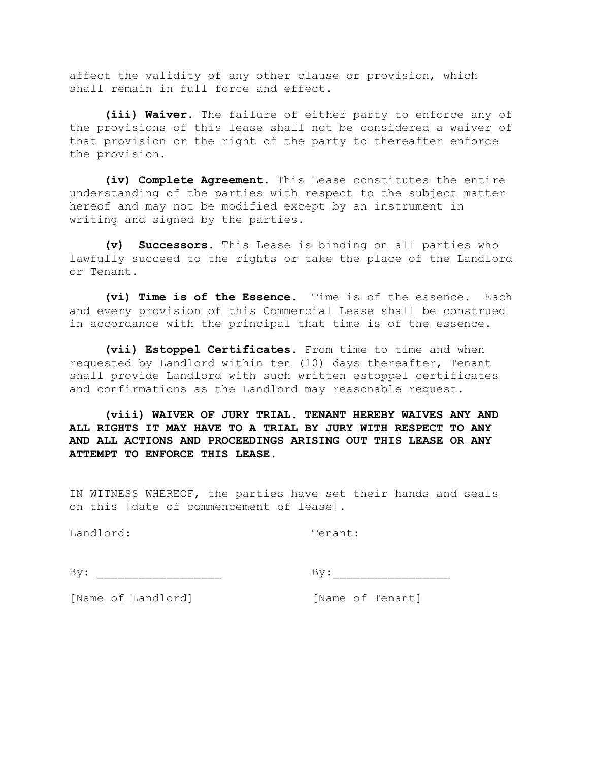affect the validity of any other clause or provision, which shall remain in full force and effect.

**(iii) Waiver**. The failure of either party to enforce any of the provisions of this lease shall not be considered a waiver of that provision or the right of the party to thereafter enforce the provision.

**(iv) Complete Agreement**. This Lease constitutes the entire understanding of the parties with respect to the subject matter hereof and may not be modified except by an instrument in writing and signed by the parties.

**(v) Successors**. This Lease is binding on all parties who lawfully succeed to the rights or take the place of the Landlord or Tenant.

**(vi) Time is of the Essence.** Time is of the essence. Each and every provision of this Commercial Lease shall be construed in accordance with the principal that time is of the essence.

 **(vii) Estoppel Certificates.** From time to time and when requested by Landlord within ten (10) days thereafter, Tenant shall provide Landlord with such written estoppel certificates and confirmations as the Landlord may reasonable request.

 **(viii) WAIVER OF JURY TRIAL. TENANT HEREBY WAIVES ANY AND ALL RIGHTS IT MAY HAVE TO A TRIAL BY JURY WITH RESPECT TO ANY AND ALL ACTIONS AND PROCEEDINGS ARISING OUT THIS LEASE OR ANY ATTEMPT TO ENFORCE THIS LEASE.**

IN WITNESS WHEREOF, the parties have set their hands and seals on this [date of commencement of lease].

Landlord: Tenant:

| • דד (<br><u>_</u> |
|--------------------|
|                    |

 $\mathbf{By:}$ 

[Name of Landlord] [Name of Tenant]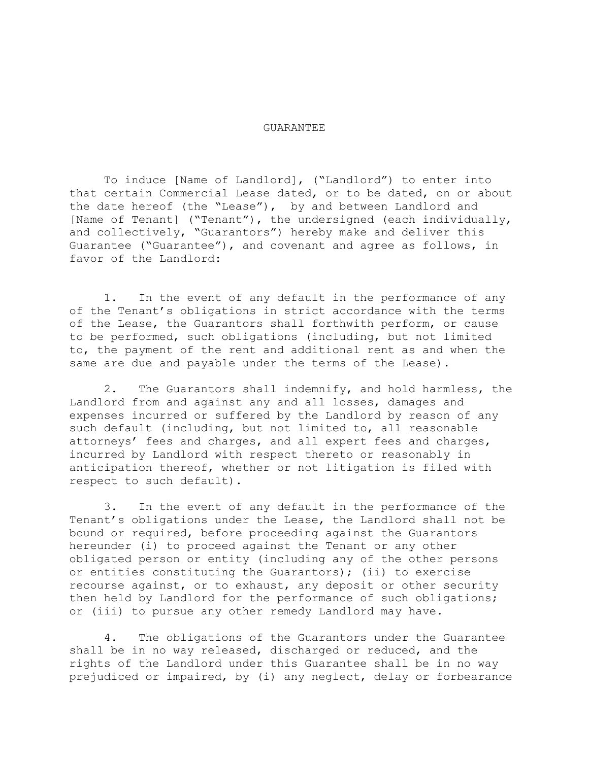## GUARANTEE

To induce [Name of Landlord], ("Landlord") to enter into that certain Commercial Lease dated, or to be dated, on or about the date hereof (the "Lease"), by and between Landlord and [Name of Tenant] ("Tenant"), the undersigned (each individually, and collectively, "Guarantors") hereby make and deliver this Guarantee ("Guarantee"), and covenant and agree as follows, in favor of the Landlord:

1. In the event of any default in the performance of any of the Tenant's obligations in strict accordance with the terms of the Lease, the Guarantors shall forthwith perform, or cause to be performed, such obligations (including, but not limited to, the payment of the rent and additional rent as and when the same are due and payable under the terms of the Lease).

2. The Guarantors shall indemnify, and hold harmless, the Landlord from and against any and all losses, damages and expenses incurred or suffered by the Landlord by reason of any such default (including, but not limited to, all reasonable attorneys' fees and charges, and all expert fees and charges, incurred by Landlord with respect thereto or reasonably in anticipation thereof, whether or not litigation is filed with respect to such default).

3. In the event of any default in the performance of the Tenant's obligations under the Lease, the Landlord shall not be bound or required, before proceeding against the Guarantors hereunder (i) to proceed against the Tenant or any other obligated person or entity (including any of the other persons or entities constituting the Guarantors); (ii) to exercise recourse against, or to exhaust, any deposit or other security then held by Landlord for the performance of such obligations; or (iii) to pursue any other remedy Landlord may have.

4. The obligations of the Guarantors under the Guarantee shall be in no way released, discharged or reduced, and the rights of the Landlord under this Guarantee shall be in no way prejudiced or impaired, by (i) any neglect, delay or forbearance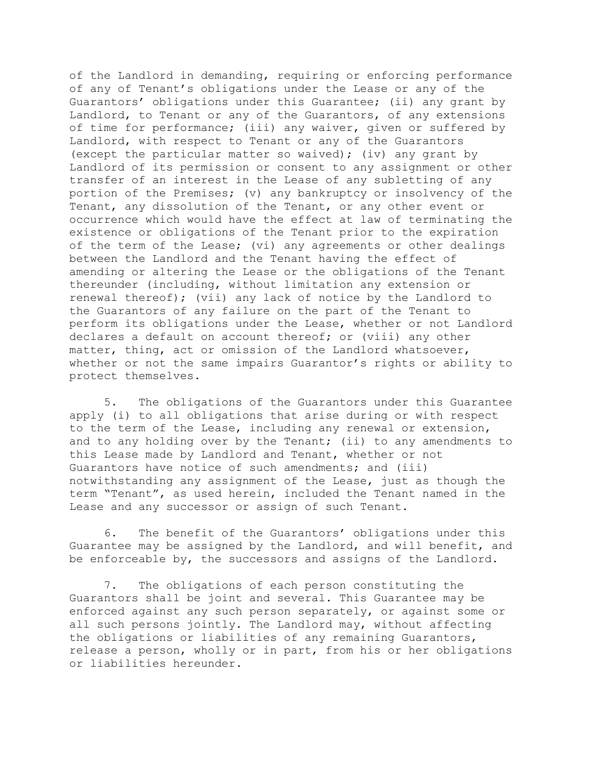of the Landlord in demanding, requiring or enforcing performance of any of Tenant's obligations under the Lease or any of the Guarantors' obligations under this Guarantee; (ii) any grant by Landlord, to Tenant or any of the Guarantors, of any extensions of time for performance; (iii) any waiver, given or suffered by Landlord, with respect to Tenant or any of the Guarantors (except the particular matter so waived); (iv) any grant by Landlord of its permission or consent to any assignment or other transfer of an interest in the Lease of any subletting of any portion of the Premises; (v) any bankruptcy or insolvency of the Tenant, any dissolution of the Tenant, or any other event or occurrence which would have the effect at law of terminating the existence or obligations of the Tenant prior to the expiration of the term of the Lease; (vi) any agreements or other dealings between the Landlord and the Tenant having the effect of amending or altering the Lease or the obligations of the Tenant thereunder (including, without limitation any extension or renewal thereof); (vii) any lack of notice by the Landlord to the Guarantors of any failure on the part of the Tenant to perform its obligations under the Lease, whether or not Landlord declares a default on account thereof; or (viii) any other matter, thing, act or omission of the Landlord whatsoever, whether or not the same impairs Guarantor's rights or ability to protect themselves.

5. The obligations of the Guarantors under this Guarantee apply (i) to all obligations that arise during or with respect to the term of the Lease, including any renewal or extension, and to any holding over by the Tenant; (ii) to any amendments to this Lease made by Landlord and Tenant, whether or not Guarantors have notice of such amendments; and (iii) notwithstanding any assignment of the Lease, just as though the term "Tenant", as used herein, included the Tenant named in the Lease and any successor or assign of such Tenant.

6. The benefit of the Guarantors' obligations under this Guarantee may be assigned by the Landlord, and will benefit, and be enforceable by, the successors and assigns of the Landlord.

7. The obligations of each person constituting the Guarantors shall be joint and several. This Guarantee may be enforced against any such person separately, or against some or all such persons jointly. The Landlord may, without affecting the obligations or liabilities of any remaining Guarantors, release a person, wholly or in part, from his or her obligations or liabilities hereunder.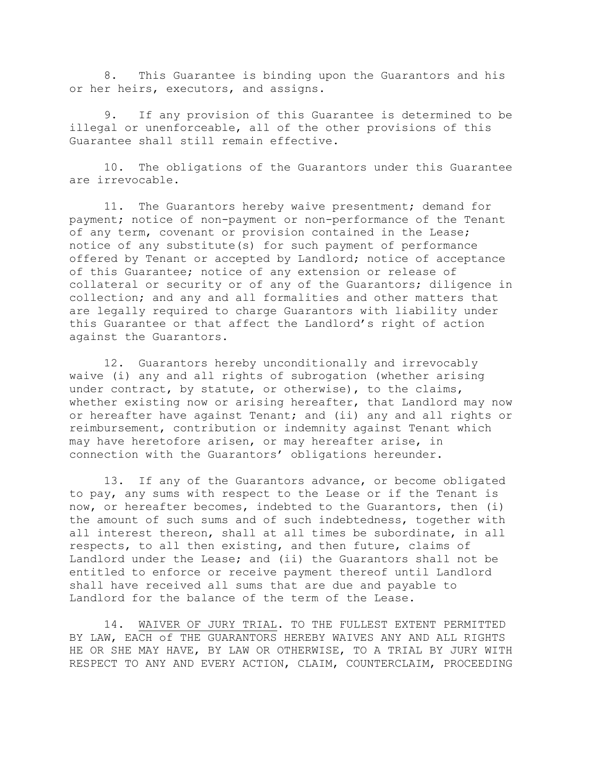8. This Guarantee is binding upon the Guarantors and his or her heirs, executors, and assigns.

9. If any provision of this Guarantee is determined to be illegal or unenforceable, all of the other provisions of this Guarantee shall still remain effective.

10. The obligations of the Guarantors under this Guarantee are irrevocable.

11. The Guarantors hereby waive presentment; demand for payment; notice of non-payment or non-performance of the Tenant of any term, covenant or provision contained in the Lease; notice of any substitute(s) for such payment of performance offered by Tenant or accepted by Landlord; notice of acceptance of this Guarantee; notice of any extension or release of collateral or security or of any of the Guarantors; diligence in collection; and any and all formalities and other matters that are legally required to charge Guarantors with liability under this Guarantee or that affect the Landlord's right of action against the Guarantors.

12. Guarantors hereby unconditionally and irrevocably waive (i) any and all rights of subrogation (whether arising under contract, by statute, or otherwise), to the claims, whether existing now or arising hereafter, that Landlord may now or hereafter have against Tenant; and (ii) any and all rights or reimbursement, contribution or indemnity against Tenant which may have heretofore arisen, or may hereafter arise, in connection with the Guarantors' obligations hereunder.

13. If any of the Guarantors advance, or become obligated to pay, any sums with respect to the Lease or if the Tenant is now, or hereafter becomes, indebted to the Guarantors, then (i) the amount of such sums and of such indebtedness, together with all interest thereon, shall at all times be subordinate, in all respects, to all then existing, and then future, claims of Landlord under the Lease; and (ii) the Guarantors shall not be entitled to enforce or receive payment thereof until Landlord shall have received all sums that are due and payable to Landlord for the balance of the term of the Lease.

14. WAIVER OF JURY TRIAL. TO THE FULLEST EXTENT PERMITTED BY LAW, EACH of THE GUARANTORS HEREBY WAIVES ANY AND ALL RIGHTS HE OR SHE MAY HAVE, BY LAW OR OTHERWISE, TO A TRIAL BY JURY WITH RESPECT TO ANY AND EVERY ACTION, CLAIM, COUNTERCLAIM, PROCEEDING